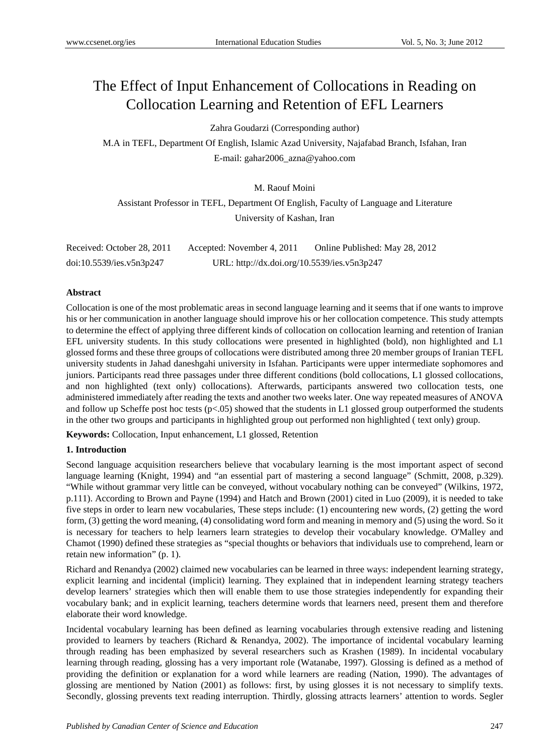# The Effect of Input Enhancement of Collocations in Reading on Collocation Learning and Retention of EFL Learners

Zahra Goudarzi (Corresponding author)

M.A in TEFL, Department Of English, Islamic Azad University, Najafabad Branch, Isfahan, Iran E-mail: gahar2006\_azna@yahoo.com

# M. Raouf Moini

Assistant Professor in TEFL, Department Of English, Faculty of Language and Literature University of Kashan, Iran

| Received: October 28, 2011 | Accepted: November 4, 2011                  | Online Published: May 28, 2012 |
|----------------------------|---------------------------------------------|--------------------------------|
| doi:10.5539/ies.v5n3p247   | URL: http://dx.doi.org/10.5539/ies.v5n3p247 |                                |

## **Abstract**

Collocation is one of the most problematic areas in second language learning and it seems that if one wants to improve his or her communication in another language should improve his or her collocation competence. This study attempts to determine the effect of applying three different kinds of collocation on collocation learning and retention of Iranian EFL university students. In this study collocations were presented in highlighted (bold), non highlighted and L1 glossed forms and these three groups of collocations were distributed among three 20 member groups of Iranian TEFL university students in Jahad daneshgahi university in Isfahan. Participants were upper intermediate sophomores and juniors. Participants read three passages under three different conditions (bold collocations, L1 glossed collocations, and non highlighted (text only) collocations). Afterwards, participants answered two collocation tests, one administered immediately after reading the texts and another two weeks later. One way repeated measures of ANOVA and follow up Scheffe post hoc tests ( $p<.05$ ) showed that the students in L1 glossed group outperformed the students in the other two groups and participants in highlighted group out performed non highlighted ( text only) group.

**Keywords:** Collocation, Input enhancement, L1 glossed, Retention

## **1. Introduction**

Second language acquisition researchers believe that vocabulary learning is the most important aspect of second language learning (Knight, 1994) and "an essential part of mastering a second language" (Schmitt, 2008, p.329). "While without grammar very little can be conveyed, without vocabulary nothing can be conveyed" (Wilkins, 1972, p.111). According to Brown and Payne (1994) and Hatch and Brown (2001) cited in Luo (2009), it is needed to take five steps in order to learn new vocabularies, These steps include: (1) encountering new words, (2) getting the word form, (3) getting the word meaning, (4) consolidating word form and meaning in memory and (5) using the word. So it is necessary for teachers to help learners learn strategies to develop their vocabulary knowledge. O'Malley and Chamot (1990) defined these strategies as "special thoughts or behaviors that individuals use to comprehend, learn or retain new information" (p. 1).

Richard and Renandya (2002) claimed new vocabularies can be learned in three ways: independent learning strategy, explicit learning and incidental (implicit) learning. They explained that in independent learning strategy teachers develop learners' strategies which then will enable them to use those strategies independently for expanding their vocabulary bank; and in explicit learning, teachers determine words that learners need, present them and therefore elaborate their word knowledge.

Incidental vocabulary learning has been defined as learning vocabularies through extensive reading and listening provided to learners by teachers (Richard & Renandya, 2002). The importance of incidental vocabulary learning through reading has been emphasized by several researchers such as Krashen (1989). In incidental vocabulary learning through reading, glossing has a very important role (Watanabe, 1997). Glossing is defined as a method of providing the definition or explanation for a word while learners are reading (Nation, 1990). The advantages of glossing are mentioned by Nation (2001) as follows: first, by using glosses it is not necessary to simplify texts. Secondly, glossing prevents text reading interruption. Thirdly, glossing attracts learners' attention to words. Segler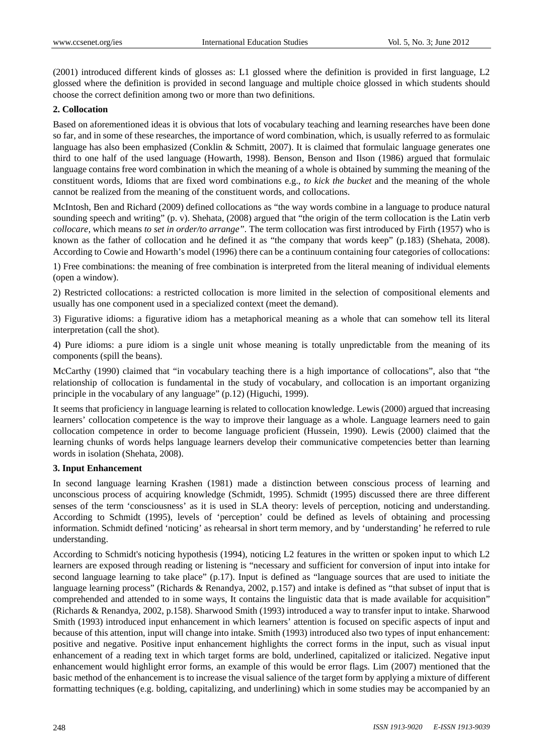(2001) introduced different kinds of glosses as: L1 glossed where the definition is provided in first language, L2 glossed where the definition is provided in second language and multiple choice glossed in which students should choose the correct definition among two or more than two definitions.

## **2. Collocation**

Based on aforementioned ideas it is obvious that lots of vocabulary teaching and learning researches have been done so far, and in some of these researches, the importance of word combination, which, is usually referred to as formulaic language has also been emphasized (Conklin & Schmitt, 2007). It is claimed that formulaic language generates one third to one half of the used language (Howarth, 1998). Benson, Benson and Ilson (1986) argued that formulaic language contains free word combination in which the meaning of a whole is obtained by summing the meaning of the constituent words, Idioms that are fixed word combinations e.g., *to kick the bucket* and the meaning of the whole cannot be realized from the meaning of the constituent words, and collocations.

McIntosh, Ben and Richard (2009) defined collocations as "the way words combine in a language to produce natural sounding speech and writing" (p. v). Shehata, (2008) argued that "the origin of the term collocation is the Latin verb *collocare,* which means *to set in order/to arrange".* The term collocation was first introduced by Firth (1957) who is known as the father of collocation and he defined it as "the company that words keep" (p.183) (Shehata, 2008). According to Cowie and Howarth's model (1996) there can be a continuum containing four categories of collocations:

1) Free combinations: the meaning of free combination is interpreted from the literal meaning of individual elements (open a window).

2) Restricted collocations: a restricted collocation is more limited in the selection of compositional elements and usually has one component used in a specialized context (meet the demand).

3) Figurative idioms: a figurative idiom has a metaphorical meaning as a whole that can somehow tell its literal interpretation (call the shot).

4) Pure idioms: a pure idiom is a single unit whose meaning is totally unpredictable from the meaning of its components (spill the beans).

McCarthy (1990) claimed that "in vocabulary teaching there is a high importance of collocations", also that "the relationship of collocation is fundamental in the study of vocabulary, and collocation is an important organizing principle in the vocabulary of any language" (p.12) (Higuchi, 1999).

It seems that proficiency in language learning is related to collocation knowledge. Lewis (2000) argued that increasing learners' collocation competence is the way to improve their language as a whole. Language learners need to gain collocation competence in order to become language proficient (Hussein, 1990). Lewis (2000) claimed that the learning chunks of words helps language learners develop their communicative competencies better than learning words in isolation (Shehata, 2008).

## **3. Input Enhancement**

In second language learning Krashen (1981) made a distinction between conscious process of learning and unconscious process of acquiring knowledge (Schmidt, 1995). Schmidt (1995) discussed there are three different senses of the term 'consciousness' as it is used in SLA theory: levels of perception, noticing and understanding. According to Schmidt (1995), levels of 'perception' could be defined as levels of obtaining and processing information. Schmidt defined 'noticing' as rehearsal in short term memory, and by 'understanding' he referred to rule understanding.

According to Schmidt's noticing hypothesis (1994), noticing L2 features in the written or spoken input to which L2 learners are exposed through reading or listening is "necessary and sufficient for conversion of input into intake for second language learning to take place" (p.17). Input is defined as "language sources that are used to initiate the language learning process" (Richards & Renandya, 2002, p.157) and intake is defined as "that subset of input that is comprehended and attended to in some ways, It contains the linguistic data that is made available for acquisition" (Richards & Renandya, 2002, p.158). Sharwood Smith (1993) introduced a way to transfer input to intake. Sharwood Smith (1993) introduced input enhancement in which learners' attention is focused on specific aspects of input and because of this attention, input will change into intake. Smith (1993) introduced also two types of input enhancement: positive and negative. Positive input enhancement highlights the correct forms in the input, such as visual input enhancement of a reading text in which target forms are bold, underlined, capitalized or italicized. Negative input enhancement would highlight error forms, an example of this would be error flags. Lim (2007) mentioned that the basic method of the enhancement is to increase the visual salience of the target form by applying a mixture of different formatting techniques (e.g. bolding, capitalizing, and underlining) which in some studies may be accompanied by an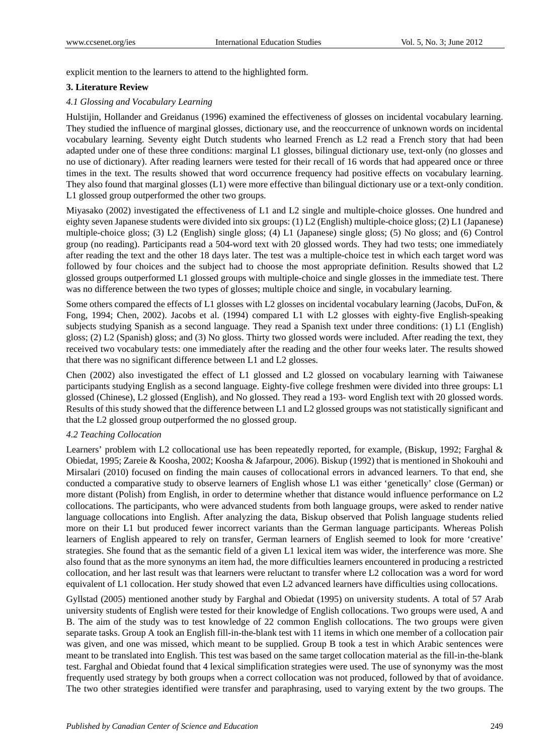explicit mention to the learners to attend to the highlighted form.

## **3. Literature Review**

#### *4.1 Glossing and Vocabulary Learning*

Hulstijin, Hollander and Greidanus (1996) examined the effectiveness of glosses on incidental vocabulary learning. They studied the influence of marginal glosses, dictionary use, and the reoccurrence of unknown words on incidental vocabulary learning. Seventy eight Dutch students who learned French as L2 read a French story that had been adapted under one of these three conditions: marginal L1 glosses, bilingual dictionary use, text-only (no glosses and no use of dictionary). After reading learners were tested for their recall of 16 words that had appeared once or three times in the text. The results showed that word occurrence frequency had positive effects on vocabulary learning. They also found that marginal glosses (L1) were more effective than bilingual dictionary use or a text-only condition. L1 glossed group outperformed the other two groups.

Miyasako (2002) investigated the effectiveness of L1 and L2 single and multiple-choice glosses. One hundred and eighty seven Japanese students were divided into six groups: (1) L2 (English) multiple-choice gloss; (2) L1 (Japanese) multiple-choice gloss; (3) L2 (English) single gloss; (4) L1 (Japanese) single gloss; (5) No gloss; and (6) Control group (no reading). Participants read a 504-word text with 20 glossed words. They had two tests; one immediately after reading the text and the other 18 days later. The test was a multiple-choice test in which each target word was followed by four choices and the subject had to choose the most appropriate definition. Results showed that L2 glossed groups outperformed L1 glossed groups with multiple-choice and single glosses in the immediate test. There was no difference between the two types of glosses; multiple choice and single, in vocabulary learning.

Some others compared the effects of L1 glosses with L2 glosses on incidental vocabulary learning (Jacobs, DuFon, & Fong, 1994; Chen, 2002). Jacobs et al. (1994) compared L1 with L2 glosses with eighty-five English-speaking subjects studying Spanish as a second language. They read a Spanish text under three conditions: (1) L1 (English) gloss; (2) L2 (Spanish) gloss; and (3) No gloss. Thirty two glossed words were included. After reading the text, they received two vocabulary tests: one immediately after the reading and the other four weeks later. The results showed that there was no significant difference between L1 and L2 glosses.

Chen (2002) also investigated the effect of L1 glossed and L2 glossed on vocabulary learning with Taiwanese participants studying English as a second language. Eighty-five college freshmen were divided into three groups: L1 glossed (Chinese), L2 glossed (English), and No glossed. They read a 193- word English text with 20 glossed words. Results of this study showed that the difference between L1 and L2 glossed groups was not statistically significant and that the L2 glossed group outperformed the no glossed group.

#### *4.2 Teaching Collocation*

Learners' problem with L2 collocational use has been repeatedly reported, for example, (Biskup, 1992; Farghal & Obiedat, 1995; Zareie & Koosha, 2002; Koosha & Jafarpour, 2006). Biskup (1992) that is mentioned in Shokouhi and Mirsalari (2010) focused on finding the main causes of collocational errors in advanced learners. To that end, she conducted a comparative study to observe learners of English whose L1 was either 'genetically' close (German) or more distant (Polish) from English, in order to determine whether that distance would influence performance on L2 collocations. The participants, who were advanced students from both language groups, were asked to render native language collocations into English. After analyzing the data, Biskup observed that Polish language students relied more on their L1 but produced fewer incorrect variants than the German language participants. Whereas Polish learners of English appeared to rely on transfer, German learners of English seemed to look for more 'creative' strategies. She found that as the semantic field of a given L1 lexical item was wider, the interference was more. She also found that as the more synonyms an item had, the more difficulties learners encountered in producing a restricted collocation, and her last result was that learners were reluctant to transfer where L2 collocation was a word for word equivalent of L1 collocation. Her study showed that even L2 advanced learners have difficulties using collocations.

Gyllstad (2005) mentioned another study by Farghal and Obiedat (1995) on university students. A total of 57 Arab university students of English were tested for their knowledge of English collocations. Two groups were used, A and B. The aim of the study was to test knowledge of 22 common English collocations. The two groups were given separate tasks. Group A took an English fill-in-the-blank test with 11 items in which one member of a collocation pair was given, and one was missed, which meant to be supplied. Group B took a test in which Arabic sentences were meant to be translated into English. This test was based on the same target collocation material as the fill-in-the-blank test. Farghal and Obiedat found that 4 lexical simplification strategies were used. The use of synonymy was the most frequently used strategy by both groups when a correct collocation was not produced, followed by that of avoidance. The two other strategies identified were transfer and paraphrasing, used to varying extent by the two groups. The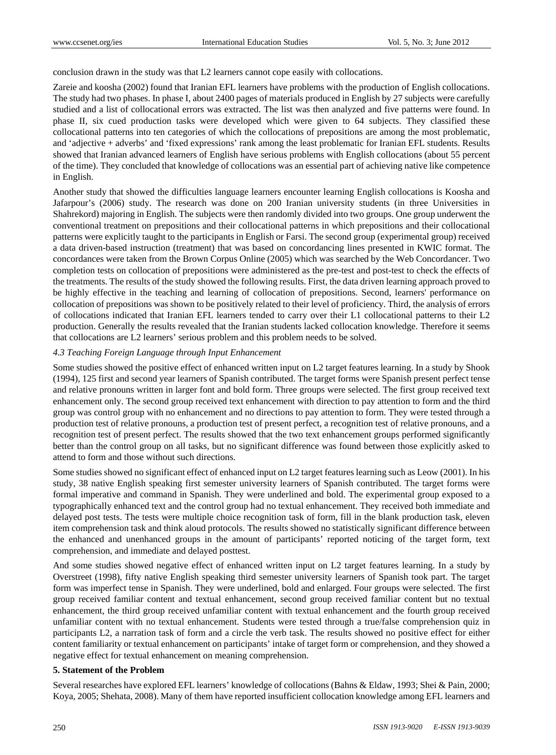conclusion drawn in the study was that L2 learners cannot cope easily with collocations.

Zareie and koosha (2002) found that Iranian EFL learners have problems with the production of English collocations. The study had two phases. In phase I, about 2400 pages of materials produced in English by 27 subjects were carefully studied and a list of collocational errors was extracted. The list was then analyzed and five patterns were found. In phase II, six cued production tasks were developed which were given to 64 subjects. They classified these collocational patterns into ten categories of which the collocations of prepositions are among the most problematic, and 'adjective + adverbs' and 'fixed expressions' rank among the least problematic for Iranian EFL students. Results showed that Iranian advanced learners of English have serious problems with English collocations (about 55 percent of the time). They concluded that knowledge of collocations was an essential part of achieving native like competence in English.

Another study that showed the difficulties language learners encounter learning English collocations is Koosha and Jafarpour's (2006) study. The research was done on 200 Iranian university students (in three Universities in Shahrekord) majoring in English. The subjects were then randomly divided into two groups. One group underwent the conventional treatment on prepositions and their collocational patterns in which prepositions and their collocational patterns were explicitly taught to the participants in English or Farsi. The second group (experimental group) received a data driven-based instruction (treatment) that was based on concordancing lines presented in KWIC format. The concordances were taken from the Brown Corpus Online (2005) which was searched by the Web Concordancer. Two completion tests on collocation of prepositions were administered as the pre-test and post-test to check the effects of the treatments. The results of the study showed the following results. First, the data driven learning approach proved to be highly effective in the teaching and learning of collocation of prepositions. Second, learners' performance on collocation of prepositions was shown to be positively related to their level of proficiency. Third, the analysis of errors of collocations indicated that Iranian EFL learners tended to carry over their L1 collocational patterns to their L2 production. Generally the results revealed that the Iranian students lacked collocation knowledge. Therefore it seems that collocations are L2 learners' serious problem and this problem needs to be solved.

# *4.3 Teaching Foreign Language through Input Enhancement*

Some studies showed the positive effect of enhanced written input on L2 target features learning. In a study by Shook (1994), 125 first and second year learners of Spanish contributed. The target forms were Spanish present perfect tense and relative pronouns written in larger font and bold form. Three groups were selected. The first group received text enhancement only. The second group received text enhancement with direction to pay attention to form and the third group was control group with no enhancement and no directions to pay attention to form. They were tested through a production test of relative pronouns, a production test of present perfect, a recognition test of relative pronouns, and a recognition test of present perfect. The results showed that the two text enhancement groups performed significantly better than the control group on all tasks, but no significant difference was found between those explicitly asked to attend to form and those without such directions.

Some studies showed no significant effect of enhanced input on L2 target features learning such as Leow (2001). In his study, 38 native English speaking first semester university learners of Spanish contributed. The target forms were formal imperative and command in Spanish. They were underlined and bold. The experimental group exposed to a typographically enhanced text and the control group had no textual enhancement. They received both immediate and delayed post tests. The tests were multiple choice recognition task of form, fill in the blank production task, eleven item comprehension task and think aloud protocols. The results showed no statistically significant difference between the enhanced and unenhanced groups in the amount of participants' reported noticing of the target form, text comprehension, and immediate and delayed posttest.

And some studies showed negative effect of enhanced written input on L2 target features learning. In a study by Overstreet (1998), fifty native English speaking third semester university learners of Spanish took part. The target form was imperfect tense in Spanish. They were underlined, bold and enlarged. Four groups were selected. The first group received familiar content and textual enhancement, second group received familiar content but no textual enhancement, the third group received unfamiliar content with textual enhancement and the fourth group received unfamiliar content with no textual enhancement. Students were tested through a true/false comprehension quiz in participants L2, a narration task of form and a circle the verb task. The results showed no positive effect for either content familiarity or textual enhancement on participants' intake of target form or comprehension, and they showed a negative effect for textual enhancement on meaning comprehension.

## **5. Statement of the Problem**

Several researches have explored EFL learners' knowledge of collocations (Bahns & Eldaw, 1993; Shei & Pain, 2000; Koya, 2005; Shehata, 2008). Many of them have reported insufficient collocation knowledge among EFL learners and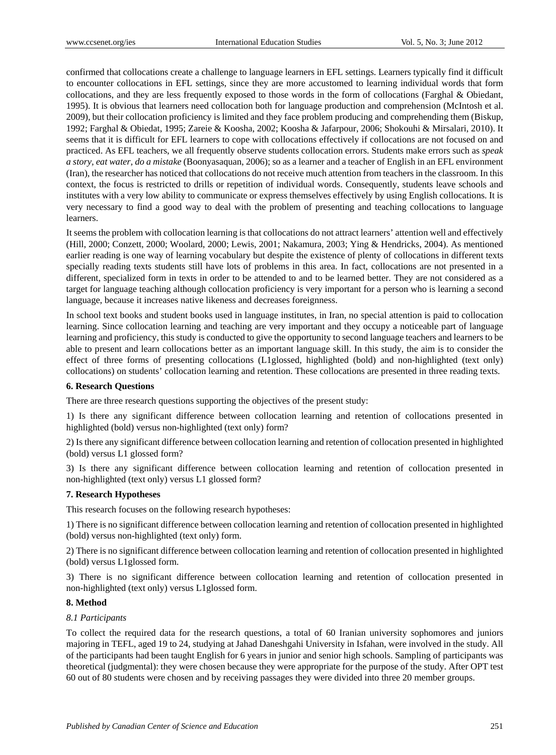confirmed that collocations create a challenge to language learners in EFL settings. Learners typically find it difficult to encounter collocations in EFL settings, since they are more accustomed to learning individual words that form collocations, and they are less frequently exposed to those words in the form of collocations (Farghal & Obiedant, 1995). It is obvious that learners need collocation both for language production and comprehension (McIntosh et al. 2009), but their collocation proficiency is limited and they face problem producing and comprehending them (Biskup, 1992; Farghal & Obiedat, 1995; Zareie & Koosha, 2002; Koosha & Jafarpour, 2006; Shokouhi & Mirsalari, 2010). It seems that it is difficult for EFL learners to cope with collocations effectively if collocations are not focused on and practiced. As EFL teachers, we all frequently observe students collocation errors. Students make errors such as *speak a story, eat water, do a mistake* (Boonyasaquan, 2006); so as a learner and a teacher of English in an EFL environment (Iran), the researcher has noticed that collocations do not receive much attention from teachers in the classroom. In this context, the focus is restricted to drills or repetition of individual words. Consequently, students leave schools and institutes with a very low ability to communicate or express themselves effectively by using English collocations. It is very necessary to find a good way to deal with the problem of presenting and teaching collocations to language learners.

It seems the problem with collocation learning is that collocations do not attract learners' attention well and effectively (Hill, 2000; Conzett, 2000; Woolard, 2000; Lewis, 2001; Nakamura, 2003; Ying & Hendricks, 2004). As mentioned earlier reading is one way of learning vocabulary but despite the existence of plenty of collocations in different texts specially reading texts students still have lots of problems in this area. In fact, collocations are not presented in a different, specialized form in texts in order to be attended to and to be learned better. They are not considered as a target for language teaching although collocation proficiency is very important for a person who is learning a second language, because it increases native likeness and decreases foreignness.

In school text books and student books used in language institutes, in Iran, no special attention is paid to collocation learning. Since collocation learning and teaching are very important and they occupy a noticeable part of language learning and proficiency, this study is conducted to give the opportunity to second language teachers and learners to be able to present and learn collocations better as an important language skill. In this study, the aim is to consider the effect of three forms of presenting collocations (L1glossed, highlighted (bold) and non-highlighted (text only) collocations) on students' collocation learning and retention. These collocations are presented in three reading texts.

## **6. Research Questions**

There are three research questions supporting the objectives of the present study:

1) Is there any significant difference between collocation learning and retention of collocations presented in highlighted (bold) versus non-highlighted (text only) form?

2) Is there any significant difference between collocation learning and retention of collocation presented in highlighted (bold) versus L1 glossed form?

3) Is there any significant difference between collocation learning and retention of collocation presented in non-highlighted (text only) versus L1 glossed form?

## **7. Research Hypotheses**

This research focuses on the following research hypotheses:

1) There is no significant difference between collocation learning and retention of collocation presented in highlighted (bold) versus non-highlighted (text only) form.

2) There is no significant difference between collocation learning and retention of collocation presented in highlighted (bold) versus L1glossed form.

3) There is no significant difference between collocation learning and retention of collocation presented in non-highlighted (text only) versus L1glossed form.

## **8. Method**

#### *8.1 Participants*

To collect the required data for the research questions, a total of 60 Iranian university sophomores and juniors majoring in TEFL, aged 19 to 24, studying at Jahad Daneshgahi University in Isfahan, were involved in the study. All of the participants had been taught English for 6 years in junior and senior high schools. Sampling of participants was theoretical (judgmental): they were chosen because they were appropriate for the purpose of the study. After OPT test 60 out of 80 students were chosen and by receiving passages they were divided into three 20 member groups.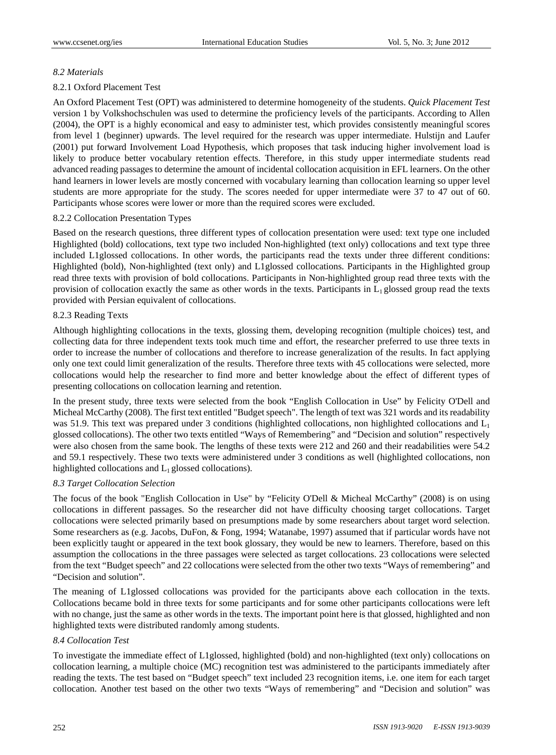## *8.2 Materials*

# 8.2.1 Oxford Placement Test

An Oxford Placement Test (OPT) was administered to determine homogeneity of the students. *Quick Placement Test* version 1 by Volkshochschulen was used to determine the proficiency levels of the participants. According to Allen (2004), the OPT is a highly economical and easy to administer test, which provides consistently meaningful scores from level 1 (beginner) upwards. The level required for the research was upper intermediate. Hulstijn and Laufer (2001) put forward Involvement Load Hypothesis, which proposes that task inducing higher involvement load is likely to produce better vocabulary retention effects. Therefore, in this study upper intermediate students read advanced reading passages to determine the amount of incidental collocation acquisition in EFL learners. On the other hand learners in lower levels are mostly concerned with vocabulary learning than collocation learning so upper level students are more appropriate for the study. The scores needed for upper intermediate were 37 to 47 out of 60. Participants whose scores were lower or more than the required scores were excluded.

## 8.2.2 Collocation Presentation Types

Based on the research questions, three different types of collocation presentation were used: text type one included Highlighted (bold) collocations, text type two included Non-highlighted (text only) collocations and text type three included L1glossed collocations. In other words, the participants read the texts under three different conditions: Highlighted (bold), Non-highlighted (text only) and L1glossed collocations. Participants in the Highlighted group read three texts with provision of bold collocations. Participants in Non-highlighted group read three texts with the provision of collocation exactly the same as other words in the texts. Participants in  $L_1$  glossed group read the texts provided with Persian equivalent of collocations.

## 8.2.3 Reading Texts

Although highlighting collocations in the texts, glossing them, developing recognition (multiple choices) test, and collecting data for three independent texts took much time and effort, the researcher preferred to use three texts in order to increase the number of collocations and therefore to increase generalization of the results. In fact applying only one text could limit generalization of the results. Therefore three texts with 45 collocations were selected, more collocations would help the researcher to find more and better knowledge about the effect of different types of presenting collocations on collocation learning and retention.

In the present study, three texts were selected from the book "English Collocation in Use" by Felicity O'Dell and Micheal McCarthy (2008). The first text entitled "Budget speech". The length of text was 321 words and its readability was 51.9. This text was prepared under 3 conditions (highlighted collocations, non highlighted collocations and  $L_1$ glossed collocations). The other two texts entitled "Ways of Remembering" and "Decision and solution" respectively were also chosen from the same book. The lengths of these texts were 212 and 260 and their readabilities were 54.2 and 59.1 respectively. These two texts were administered under 3 conditions as well (highlighted collocations, non highlighted collocations and  $L_1$  glossed collocations).

## *8.3 Target Collocation Selection*

The focus of the book "English Collocation in Use" by "Felicity O'Dell & Micheal McCarthy" (2008) is on using collocations in different passages. So the researcher did not have difficulty choosing target collocations. Target collocations were selected primarily based on presumptions made by some researchers about target word selection. Some researchers as (e.g. Jacobs, DuFon, & Fong, 1994; Watanabe, 1997) assumed that if particular words have not been explicitly taught or appeared in the text book glossary, they would be new to learners. Therefore, based on this assumption the collocations in the three passages were selected as target collocations. 23 collocations were selected from the text "Budget speech" and 22 collocations were selected from the other two texts "Ways of remembering" and "Decision and solution".

The meaning of L1glossed collocations was provided for the participants above each collocation in the texts. Collocations became bold in three texts for some participants and for some other participants collocations were left with no change, just the same as other words in the texts. The important point here is that glossed, highlighted and non highlighted texts were distributed randomly among students.

## *8.4 Collocation Test*

To investigate the immediate effect of L1glossed, highlighted (bold) and non-highlighted (text only) collocations on collocation learning, a multiple choice (MC) recognition test was administered to the participants immediately after reading the texts. The test based on "Budget speech" text included 23 recognition items, i.e. one item for each target collocation. Another test based on the other two texts "Ways of remembering" and "Decision and solution" was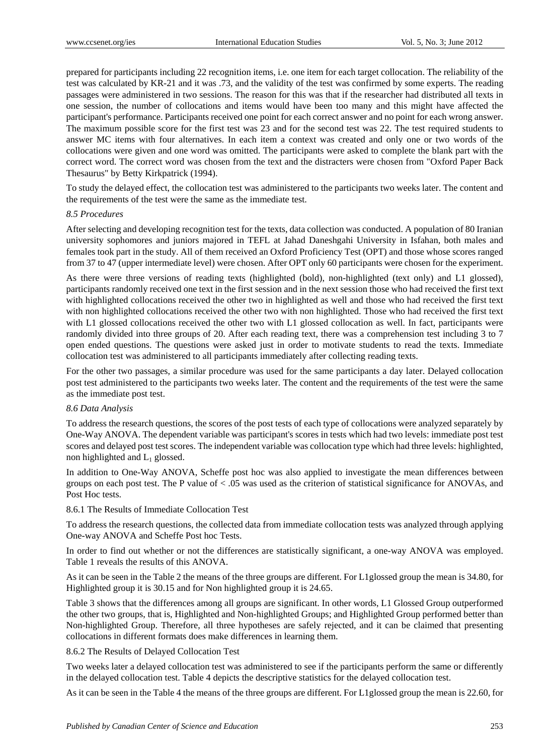prepared for participants including 22 recognition items, i.e. one item for each target collocation. The reliability of the test was calculated by KR-21 and it was .73, and the validity of the test was confirmed by some experts. The reading passages were administered in two sessions. The reason for this was that if the researcher had distributed all texts in one session, the number of collocations and items would have been too many and this might have affected the participant's performance. Participants received one point for each correct answer and no point for each wrong answer. The maximum possible score for the first test was 23 and for the second test was 22. The test required students to answer MC items with four alternatives. In each item a context was created and only one or two words of the collocations were given and one word was omitted. The participants were asked to complete the blank part with the correct word. The correct word was chosen from the text and the distracters were chosen from "Oxford Paper Back Thesaurus" by Betty Kirkpatrick (1994).

To study the delayed effect, the collocation test was administered to the participants two weeks later. The content and the requirements of the test were the same as the immediate test.

#### *8.5 Procedures*

After selecting and developing recognition test for the texts, data collection was conducted. A population of 80 Iranian university sophomores and juniors majored in TEFL at Jahad Daneshgahi University in Isfahan, both males and females took part in the study. All of them received an Oxford Proficiency Test (OPT) and those whose scores ranged from 37 to 47 (upper intermediate level) were chosen. After OPT only 60 participants were chosen for the experiment.

As there were three versions of reading texts (highlighted (bold), non-highlighted (text only) and L1 glossed), participants randomly received one text in the first session and in the next session those who had received the first text with highlighted collocations received the other two in highlighted as well and those who had received the first text with non highlighted collocations received the other two with non highlighted. Those who had received the first text with L1 glossed collocations received the other two with L1 glossed collocation as well. In fact, participants were randomly divided into three groups of 20. After each reading text, there was a comprehension test including 3 to 7 open ended questions. The questions were asked just in order to motivate students to read the texts. Immediate collocation test was administered to all participants immediately after collecting reading texts.

For the other two passages, a similar procedure was used for the same participants a day later. Delayed collocation post test administered to the participants two weeks later. The content and the requirements of the test were the same as the immediate post test.

#### *8.6 Data Analysis*

To address the research questions, the scores of the post tests of each type of collocations were analyzed separately by One-Way ANOVA. The dependent variable was participant's scores in tests which had two levels: immediate post test scores and delayed post test scores. The independent variable was collocation type which had three levels: highlighted, non highlighted and  $L_1$  glossed.

In addition to One-Way ANOVA, Scheffe post hoc was also applied to investigate the mean differences between groups on each post test. The P value of < .05 was used as the criterion of statistical significance for ANOVAs, and Post Hoc tests.

8.6.1 The Results of Immediate Collocation Test

To address the research questions, the collected data from immediate collocation tests was analyzed through applying One-way ANOVA and Scheffe Post hoc Tests.

In order to find out whether or not the differences are statistically significant, a one-way ANOVA was employed. Table 1 reveals the results of this ANOVA.

As it can be seen in the Table 2 the means of the three groups are different. For L1glossed group the mean is 34.80, for Highlighted group it is 30.15 and for Non highlighted group it is 24.65.

Table 3 shows that the differences among all groups are significant. In other words, L1 Glossed Group outperformed the other two groups, that is, Highlighted and Non-highlighted Groups; and Highlighted Group performed better than Non-highlighted Group. Therefore, all three hypotheses are safely rejected, and it can be claimed that presenting collocations in different formats does make differences in learning them.

#### 8.6.2 The Results of Delayed Collocation Test

Two weeks later a delayed collocation test was administered to see if the participants perform the same or differently in the delayed collocation test. Table 4 depicts the descriptive statistics for the delayed collocation test.

As it can be seen in the Table 4 the means of the three groups are different. For L1glossed group the mean is 22.60, for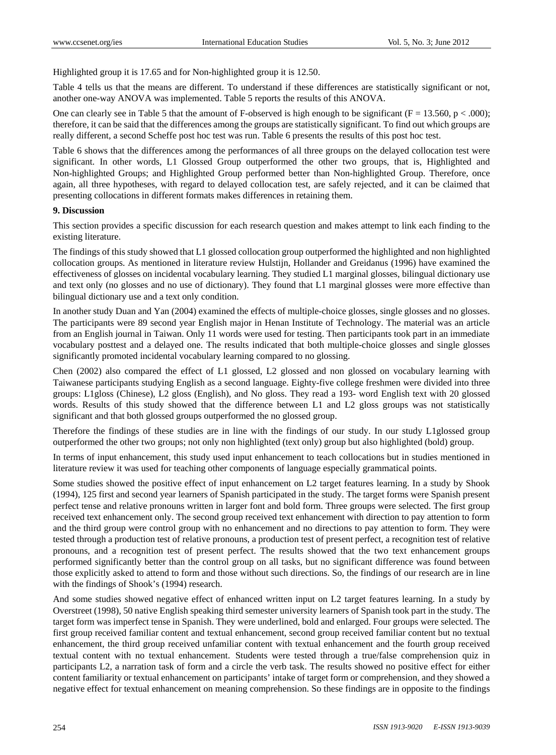Highlighted group it is 17.65 and for Non-highlighted group it is 12.50.

Table 4 tells us that the means are different. To understand if these differences are statistically significant or not, another one-way ANOVA was implemented. Table 5 reports the results of this ANOVA.

One can clearly see in Table 5 that the amount of F-observed is high enough to be significant ( $F = 13.560$ ,  $p < .000$ ); therefore, it can be said that the differences among the groups are statistically significant. To find out which groups are really different, a second Scheffe post hoc test was run. Table 6 presents the results of this post hoc test.

Table 6 shows that the differences among the performances of all three groups on the delayed collocation test were significant. In other words, L1 Glossed Group outperformed the other two groups, that is, Highlighted and Non-highlighted Groups; and Highlighted Group performed better than Non-highlighted Group. Therefore, once again, all three hypotheses, with regard to delayed collocation test, are safely rejected, and it can be claimed that presenting collocations in different formats makes differences in retaining them.

## **9. Discussion**

This section provides a specific discussion for each research question and makes attempt to link each finding to the existing literature.

The findings of this study showed that L1 glossed collocation group outperformed the highlighted and non highlighted collocation groups. As mentioned in literature review Hulstijn, Hollander and Greidanus (1996) have examined the effectiveness of glosses on incidental vocabulary learning. They studied L1 marginal glosses, bilingual dictionary use and text only (no glosses and no use of dictionary). They found that L1 marginal glosses were more effective than bilingual dictionary use and a text only condition.

In another study Duan and Yan (2004) examined the effects of multiple-choice glosses, single glosses and no glosses. The participants were 89 second year English major in Henan Institute of Technology. The material was an article from an English journal in Taiwan. Only 11 words were used for testing. Then participants took part in an immediate vocabulary posttest and a delayed one. The results indicated that both multiple-choice glosses and single glosses significantly promoted incidental vocabulary learning compared to no glossing.

Chen (2002) also compared the effect of L1 glossed, L2 glossed and non glossed on vocabulary learning with Taiwanese participants studying English as a second language. Eighty-five college freshmen were divided into three groups: L1gloss (Chinese), L2 gloss (English), and No gloss. They read a 193- word English text with 20 glossed words. Results of this study showed that the difference between L1 and L2 gloss groups was not statistically significant and that both glossed groups outperformed the no glossed group.

Therefore the findings of these studies are in line with the findings of our study. In our study L1glossed group outperformed the other two groups; not only non highlighted (text only) group but also highlighted (bold) group.

In terms of input enhancement, this study used input enhancement to teach collocations but in studies mentioned in literature review it was used for teaching other components of language especially grammatical points.

Some studies showed the positive effect of input enhancement on L2 target features learning. In a study by Shook (1994), 125 first and second year learners of Spanish participated in the study. The target forms were Spanish present perfect tense and relative pronouns written in larger font and bold form. Three groups were selected. The first group received text enhancement only. The second group received text enhancement with direction to pay attention to form and the third group were control group with no enhancement and no directions to pay attention to form. They were tested through a production test of relative pronouns, a production test of present perfect, a recognition test of relative pronouns, and a recognition test of present perfect. The results showed that the two text enhancement groups performed significantly better than the control group on all tasks, but no significant difference was found between those explicitly asked to attend to form and those without such directions. So, the findings of our research are in line with the findings of Shook's (1994) research.

And some studies showed negative effect of enhanced written input on L2 target features learning. In a study by Overstreet (1998), 50 native English speaking third semester university learners of Spanish took part in the study. The target form was imperfect tense in Spanish. They were underlined, bold and enlarged. Four groups were selected. The first group received familiar content and textual enhancement, second group received familiar content but no textual enhancement, the third group received unfamiliar content with textual enhancement and the fourth group received textual content with no textual enhancement. Students were tested through a true/false comprehension quiz in participants L2, a narration task of form and a circle the verb task. The results showed no positive effect for either content familiarity or textual enhancement on participants' intake of target form or comprehension, and they showed a negative effect for textual enhancement on meaning comprehension. So these findings are in opposite to the findings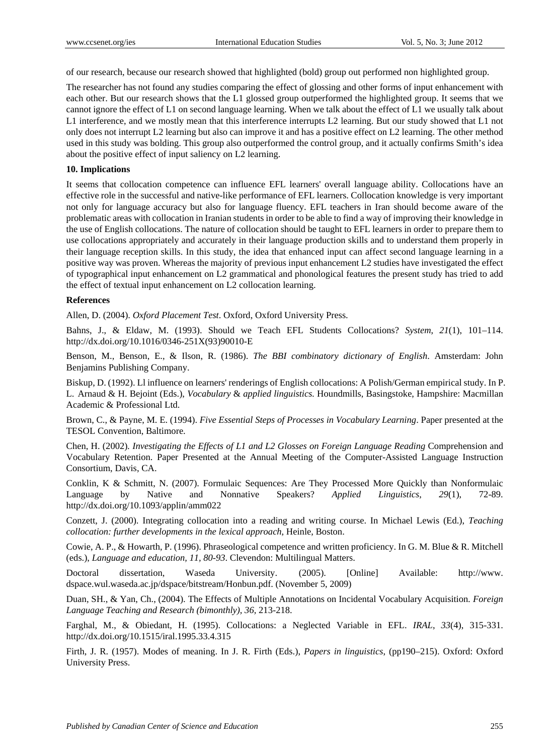of our research, because our research showed that highlighted (bold) group out performed non highlighted group.

The researcher has not found any studies comparing the effect of glossing and other forms of input enhancement with each other. But our research shows that the L1 glossed group outperformed the highlighted group. It seems that we cannot ignore the effect of L1 on second language learning. When we talk about the effect of L1 we usually talk about L1 interference, and we mostly mean that this interference interrupts L2 learning. But our study showed that L1 not only does not interrupt L2 learning but also can improve it and has a positive effect on L2 learning. The other method used in this study was bolding. This group also outperformed the control group, and it actually confirms Smith's idea about the positive effect of input saliency on L2 learning.

#### **10. Implications**

It seems that collocation competence can influence EFL learners' overall language ability. Collocations have an effective role in the successful and native-like performance of EFL learners. Collocation knowledge is very important not only for language accuracy but also for language fluency. EFL teachers in Iran should become aware of the problematic areas with collocation in Iranian students in order to be able to find a way of improving their knowledge in the use of English collocations. The nature of collocation should be taught to EFL learners in order to prepare them to use collocations appropriately and accurately in their language production skills and to understand them properly in their language reception skills. In this study, the idea that enhanced input can affect second language learning in a positive way was proven. Whereas the majority of previous input enhancement L2 studies have investigated the effect of typographical input enhancement on L2 grammatical and phonological features the present study has tried to add the effect of textual input enhancement on L2 collocation learning.

## **References**

Allen, D. (2004). *Oxford Placement Test*. Oxford, Oxford University Press.

Bahns, J., & Eldaw, M. (1993). Should we Teach EFL Students Collocations? *System*, *21*(1), 101–114. http://dx.doi.org/10.1016/0346-251X(93)90010-E

Benson, M., Benson, E., & Ilson, R. (1986). *The BBI combinatory dictionary of English*. Amsterdam: John Benjamins Publishing Company.

Biskup, D. (1992). Ll influence on learners' renderings of English collocations: A Polish/German empirical study. In P. L. Arnaud & H. Bejoint (Eds.), *Vocabulary* & *applied linguistics.* Houndmills, Basingstoke, Hampshire: Macmillan Academic & Professional Ltd.

Brown, C., & Payne, M. E. (1994). *Five Essential Steps of Processes in Vocabulary Learning*. Paper presented at the TESOL Convention, Baltimore.

Chen, H. (2002)*. Investigating the Effects of L1 and L2 Glosses on Foreign Language Reading* Comprehension and Vocabulary Retention. Paper Presented at the Annual Meeting of the Computer-Assisted Language Instruction Consortium, Davis, CA.

Conklin, K & Schmitt, N. (2007). Formulaic Sequences: Are They Processed More Quickly than Nonformulaic Language by Native and Nonnative Speakers? *Applied Linguistics*, *29*(1), 72-89. http://dx.doi.org/10.1093/applin/amm022

Conzett, J. (2000). Integrating collocation into a reading and writing course. In Michael Lewis (Ed.), *Teaching collocation: further developments in the lexical approach*, Heinle, Boston.

Cowie, A. P., & Howarth, P. (1996). Phraseological competence and written proficiency. In G. M. Blue & R. Mitchell (eds.), *Language and education, 11, 80-93*. Clevendon: Multilingual Matters.

Doctoral dissertation, Waseda University. (2005). [Online] Available: http://www. dspace.wul.waseda.ac.jp/dspace/bitstream/Honbun.pdf. (November 5, 2009)

Duan, SH., & Yan, Ch., (2004). The Effects of Multiple Annotations on Incidental Vocabulary Acquisition*. Foreign Language Teaching and Research (bimonthly), 36,* 213-218.

Farghal, M., & Obiedant, H. (1995). Collocations: a Neglected Variable in EFL. *IRAL*, *33*(4), 315-331. http://dx.doi.org/10.1515/iral.1995.33.4.315

Firth, J. R. (1957). Modes of meaning. In J. R. Firth (Eds.), *Papers in linguistics*, (pp190–215). Oxford: Oxford University Press.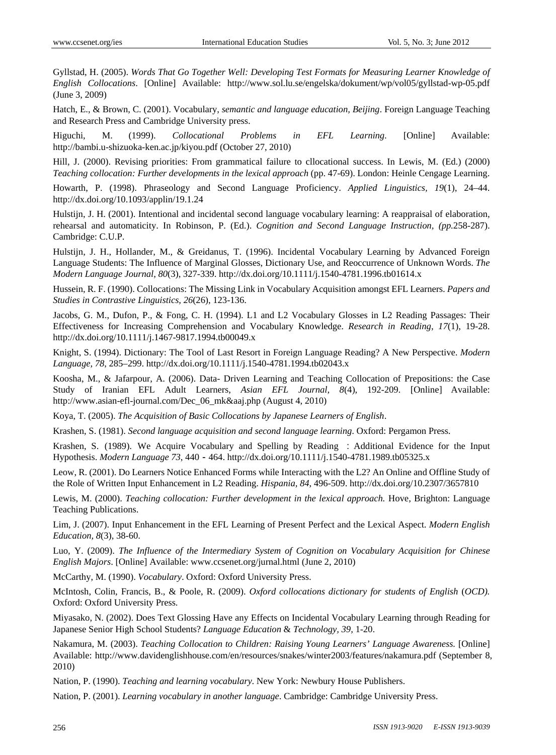Gyllstad, H. (2005). *Words That Go Together Well: Developing Test Formats for Measuring Learner Knowledge of English Collocations*. [Online] Available: http://www.sol.lu.se/engelska/dokument/wp/vol05/gyllstad-wp-05.pdf (June 3, 2009)

Hatch, E., & Brown, C. (2001). Vocabulary, *semantic and language education, Beijing*. Foreign Language Teaching and Research Press and Cambridge University press.

Higuchi, M. (1999). *Collocational Problems in EFL Learning*. [Online] Available: http://bambi.u-shizuoka-ken.ac.jp/kiyou.pdf (October 27, 2010)

Hill, J. (2000). Revising priorities: From grammatical failure to cllocational success. In Lewis, M. (Ed.) (2000) *Teaching collocation: Further developments in the lexical approach* (pp. 47-69). London: Heinle Cengage Learning.

Howarth, P. (1998). Phraseology and Second Language Proficiency. *Applied Linguistics, 19*(1), 24–44. http://dx.doi.org/10.1093/applin/19.1.24

Hulstijn, J. H. (2001). Intentional and incidental second language vocabulary learning: A reappraisal of elaboration, rehearsal and automaticity. In Robinson, P. (Ed.). *Cognition and Second Language Instruction, (pp.*258-287). Cambridge: C.U.P.

Hulstijn, J. H., Hollander, M., & Greidanus, T. (1996). Incidental Vocabulary Learning by Advanced Foreign Language Students: The Influence of Marginal Glosses, Dictionary Use, and Reoccurrence of Unknown Words. *The Modern Language Journal*, *80*(3), 327-339. http://dx.doi.org/10.1111/j.1540-4781.1996.tb01614.x

Hussein, R. F. (1990). Collocations: The Missing Link in Vocabulary Acquisition amongst EFL Learners. *Papers and Studies in Contrastive Linguistics, 26*(26), 123-136.

Jacobs, G. M., Dufon, P., & Fong, C. H. (1994). L1 and L2 Vocabulary Glosses in L2 Reading Passages: Their Effectiveness for Increasing Comprehension and Vocabulary Knowledge. *Research in Reading*, *17*(1), 19-28. http://dx.doi.org/10.1111/j.1467-9817.1994.tb00049.x

Knight, S. (1994). Dictionary: The Tool of Last Resort in Foreign Language Reading? A New Perspective. *Modern Language, 78*, 285–299. http://dx.doi.org/10.1111/j.1540-4781.1994.tb02043.x

Koosha, M., & Jafarpour, A. (2006). Data- Driven Learning and Teaching Collocation of Prepositions: the Case Study of Iranian EFL Adult Learners, *Asian EFL Journal*, *8*(4), 192-209. [Online] Available: http://www.asian-efl-journal.com/Dec\_06\_mk&aaj.php (August 4, 2010)

Koya, T. (2005). *The Acquisition of Basic Collocations by Japanese Learners of English*.

Krashen, S. (1981). *Second language acquisition and second language learning*. Oxford: Pergamon Press.

Krashen, S. (1989). We Acquire Vocabulary and Spelling by Reading : Additional Evidence for the Input Hypothesis. *Modern Language 73*, 440-464. http://dx.doi.org/10.1111/j.1540-4781.1989.tb05325.x

Leow, R. (2001). Do Learners Notice Enhanced Forms while Interacting with the L2? An Online and Offline Study of the Role of Written Input Enhancement in L2 Reading. *Hispania, 84*, 496-509. http://dx.doi.org/10.2307/3657810

Lewis, M. (2000). *Teaching collocation: Further development in the lexical approach.* Hove, Brighton: Language Teaching Publications.

Lim, J. (2007). Input Enhancement in the EFL Learning of Present Perfect and the Lexical Aspect. *Modern English Education, 8*(3), 38-60.

Luo, Y. (2009). *The Influence of the Intermediary System of Cognition on Vocabulary Acquisition for Chinese English Majors*. [Online] Available: www.ccsenet.org/jurnal.html (June 2, 2010)

McCarthy, M. (1990). *Vocabulary*. Oxford: Oxford University Press.

McIntosh, Colin, Francis, B., & Poole, R. (2009). *Oxford collocations dictionary for students of English* (*OCD).*  Oxford: Oxford University Press.

Miyasako, N. (2002). Does Text Glossing Have any Effects on Incidental Vocabulary Learning through Reading for Japanese Senior High School Students? *Language Education* & *Technology, 39,* 1-20.

Nakamura, M. (2003). *Teaching Collocation to Children: Raising Young Learners' Language Awareness.* [Online] Available: http://www.davidenglishhouse.com/en/resources/snakes/winter2003/features/nakamura.pdf (September 8, 2010)

Nation, P. (1990). *Teaching and learning vocabulary*. New York: Newbury House Publishers.

Nation, P. (2001). *Learning vocabulary in another language*. Cambridge: Cambridge University Press.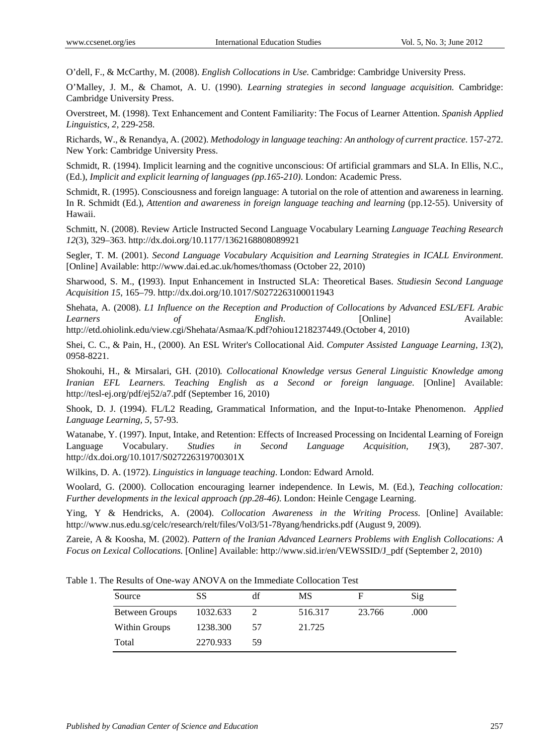O'dell, F., & McCarthy, M. (2008). *English Collocations in Use.* Cambridge: Cambridge University Press.

O'Malley, J. M., & Chamot, A. U. (1990). *Learning strategies in second language acquisition.* Cambridge: Cambridge University Press.

Overstreet, M. (1998). Text Enhancement and Content Familiarity: The Focus of Learner Attention. *Spanish Applied Linguistics, 2*, 229-258.

Richards, W., & Renandya, A. (2002). *Methodology in language teaching: An anthology of current practice*. 157-272. New York: Cambridge University Press.

Schmidt, R. (1994). Implicit learning and the cognitive unconscious: Of artificial grammars and SLA. In Ellis, N.C., (Ed.), *Implicit and explicit learning of languages (pp.165-210)*. London: Academic Press.

Schmidt, R. (1995). Consciousness and foreign language: A tutorial on the role of attention and awareness in learning. In R. Schmidt (Ed.), *Attention and awareness in foreign language teaching and learning* (pp.12-55). University of Hawaii.

Schmitt, N. (2008). Review Article Instructed Second Language Vocabulary Learning *Language Teaching Research 12*(3), 329–363. http://dx.doi.org/10.1177/1362168808089921

Segler, T. M. (2001). *Second Language Vocabulary Acquisition and Learning Strategies in ICALL Environment*. [Online] Available: http://www.dai.ed.ac.uk/homes/thomass (October 22, 2010)

Sharwood, S. M., **(**1993). Input Enhancement in Instructed SLA: Theoretical Bases. *Studiesin Second Language Acquisition 15*, 165–79. http://dx.doi.org/10.1017/S0272263100011943

Shehata, A. (2008). *L1 Influence on the Reception and Production of Collocations by Advanced ESL/EFL Arabic Learners of English*. [Online] Available: http://etd.ohiolink.edu/view.cgi/Shehata/Asmaa/K.pdf?ohiou1218237449.(October 4, 2010)

Shei, C. C., & Pain, H., (2000). An ESL Writer's Collocational Aid. *Computer Assisted Language Learning*, *13*(2), 0958-8221.

Shokouhi, H., & Mirsalari, GH. (2010)*. Collocational Knowledge versus General Linguistic Knowledge among Iranian EFL Learners. Teaching English as a Second or foreign language*. [Online] Available: http://tesl-ej.org/pdf/ej52/a7.pdf (September 16, 2010)

Shook, D. J. (1994). FL/L2 Reading, Grammatical Information, and the Input-to-Intake Phenomenon. *Applied Language Learning, 5,* 57-93.

Watanabe, Y. (1997). Input, Intake, and Retention: Effects of Increased Processing on Incidental Learning of Foreign Language Vocabulary. *Studies in Second Language Acquisition, 19*(3), 287-307. http://dx.doi.org/10.1017/S027226319700301X

Wilkins, D. A. (1972). *Linguistics in language teaching*. London: Edward Arnold.

Woolard, G. (2000). Collocation encouraging learner independence. In Lewis, M. (Ed.), *Teaching collocation: Further developments in the lexical approach (pp.28-46)*. London: Heinle Cengage Learning.

Ying, Y & Hendricks, A. (2004). *Collocation Awareness in the Writing Process*. [Online] Available: http://www.nus.edu.sg/celc/research/relt/files/Vol3/51-78yang/hendricks.pdf (August 9, 2009).

Zareie, A & Koosha, M. (2002). *Pattern of the Iranian Advanced Learners Problems with English Collocations: A Focus on Lexical Collocations.* [Online] Available: http://www.sid.ir/en/VEWSSID/J\_pdf (September 2, 2010)

Table 1. The Results of One-way ANOVA on the Immediate Collocation Test

| Source                | SS       | df | MS      | F      | Sig  |
|-----------------------|----------|----|---------|--------|------|
| <b>Between Groups</b> | 1032.633 |    | 516.317 | 23.766 | .000 |
| Within Groups         | 1238.300 | 57 | 21.725  |        |      |
| Total                 | 2270.933 | 59 |         |        |      |